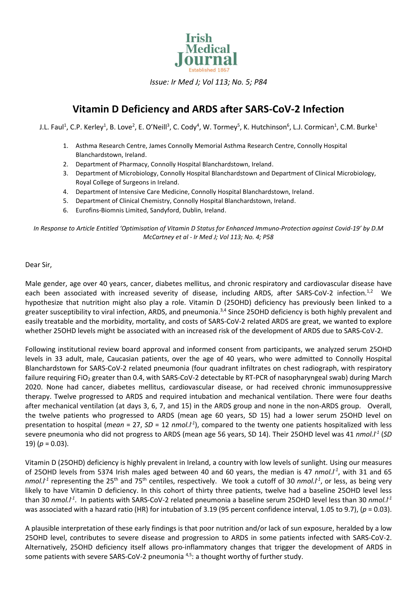

*Issue: Ir Med J; Vol 113; No. 5; P84*

## **Vitamin D Deficiency and ARDS after SARS-CoV-2 Infection**

J.L. Faul $^1$ , C.P. Kerley $^1$ , B. Love $^2$ , E. O'Neill $^3$ , C. Cody $^4$ , W. Tormey $^5$ , K. Hutchinson $^6$ , L.J. Cormican $^1$ , C.M. Burke $^1$ 

- 1. Asthma Research Centre, James Connolly Memorial Asthma Research Centre, Connolly Hospital Blanchardstown, Ireland.
- 2. Department of Pharmacy, Connolly Hospital Blanchardstown, Ireland.
- 3. Department of Microbiology, Connolly Hospital Blanchardstown and Department of Clinical Microbiology, Royal College of Surgeons in Ireland.
- 4. Department of Intensive Care Medicine, Connolly Hospital Blanchardstown, Ireland.
- 5. Department of Clinical Chemistry, Connolly Hospital Blanchardstown, Ireland.
- 6. Eurofins-Biomnis Limited, Sandyford, Dublin, Ireland.

*In Response to Article Entitled 'Optimisation of Vitamin D Status for Enhanced Immuno-Protection against Covid-19' by D.M McCartney et al - Ir Med J; Vol 113; No. 4; P58*

## Dear Sir,

Male gender, age over 40 years, cancer, diabetes mellitus, and chronic respiratory and cardiovascular disease have each been associated with increased severity of disease, including ARDS, after SARS-CoV-2 infection.<sup>1,2</sup> We hypothesize that nutrition might also play a role. Vitamin D (25OHD) deficiency has previously been linked to a greater susceptibility to viral infection, ARDS, and pneumonia.<sup>3,4</sup> Since 25OHD deficiency is both highly prevalent and easily treatable and the morbidity, mortality, and costs of SARS-CoV-2 related ARDS are great, we wanted to explore whether 25OHD levels might be associated with an increased risk of the development of ARDS due to SARS-CoV-2.

Following institutional review board approval and informed consent from participants, we analyzed serum 25OHD levels in 33 adult, male, Caucasian patients, over the age of 40 years, who were admitted to Connolly Hospital Blanchardstown for SARS-CoV-2 related pneumonia (four quadrant infiltrates on chest radiograph, with respiratory failure requiring FiO<sub>2</sub> greater than 0.4, with SARS-CoV-2 detectable by RT-PCR of nasopharyngeal swab) during March 2020. None had cancer, diabetes mellitus, cardiovascular disease, or had received chronic immunosuppressive therapy. Twelve progressed to ARDS and required intubation and mechanical ventilation. There were four deaths after mechanical ventilation (at days 3, 6, 7, and 15) in the ARDS group and none in the non-ARDS group. Overall, the twelve patients who progressed to ARDS (mean age 60 years, SD 15) had a lower serum 25OHD level on presentation to hospital (*mean* = 27, SD = 12 *nmol.l<sup>-1</sup>*), compared to the twenty one patients hospitalized with less severe pneumonia who did not progress to ARDS (mean age 56 years, SD 14). Their 25OHD level was 41 *nmol.l -1* (*SD* 19)  $(p = 0.03)$ .

Vitamin D (25OHD) deficiency is highly prevalent in Ireland, a country with low levels of sunlight. Using our measures of 25OHD levels from 5374 Irish males aged between 40 and 60 years, the median is 47 nmol.<sup>11</sup>, with 31 and 65 nmol.*l*<sup>1</sup> representing the 25<sup>th</sup> and 75<sup>th</sup> centiles, respectively. We took a cutoff of 30 nmol.*l*<sup>1</sup>, or less, as being very likely to have Vitamin D deficiency. In this cohort of thirty three patients, twelve had a baseline 25OHD level less than 30 *nmol.l -1* . In patients with SARS-CoV-2 related pneumonia a baseline serum 25OHD level less than 30 *nmol.l-1* was associated with a hazard ratio (HR) for intubation of 3.19 (95 percent confidence interval, 1.05 to 9.7), (*p* = 0.03).

A plausible interpretation of these early findings is that poor nutrition and/or lack of sun exposure, heralded by a low 25OHD level, contributes to severe disease and progression to ARDS in some patients infected with SARS-CoV-2. Alternatively, 25OHD deficiency itself allows pro-inflammatory changes that trigger the development of ARDS in some patients with severe SARS-CoV-2 pneumonia  $4.5$ : a thought worthy of further study.